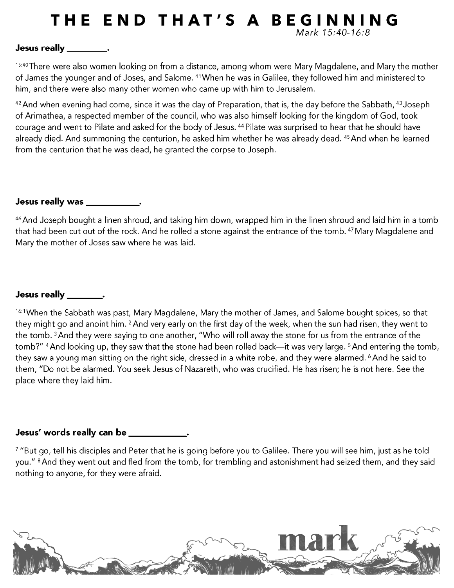# THE END THAT'S A BEGINNING Mark 15:40-16:8

## Jesus really \_\_\_\_\_\_\_\_\_\_.

15:40 There were also women looking on from a distance, among whom were Mary Magdalene, and Mary the mother of James the younger and of Joses, and Salome. 41 When he was in Galilee, they followed him and ministered to him, and there were also many other women who came up with him to Jerusalem.

<sup>42</sup> And when evening had come, since it was the day of Preparation, that is, the day before the Sabbath, <sup>43</sup> Joseph of Arimathea, a respected member of the council, who was also himself looking for the kingdom of God, took courage and went to Pilate and asked for the body of Jesus. 44 Pilate was surprised to hear that he should have already died. And summoning the centurion, he asked him whether he was already dead. 45 And when he learned from the centurion that he was dead, he granted the corpse to Joseph.

### Jesus really was \_\_\_\_\_\_\_\_\_\_\_\_.

<sup>46</sup> And Joseph bought a linen shroud, and taking him down, wrapped him in the linen shroud and laid him in a tomb that had been cut out of the rock. And he rolled a stone against the entrance of the tomb. 47 Mary Magdalene and Mary the mother of Joses saw where he was laid.

## Jesus really the set of the set of the set of the set of the set of the set of the set of the set of the set o

16:1 When the Sabbath was past, Mary Magdalene, Mary the mother of James, and Salome bought spices, so that they might go and anoint him. <sup>2</sup> And very early on the first day of the week, when the sun had risen, they went to the tomb. <sup>3</sup> And they were saying to one another, "Who will roll away the stone for us from the entrance of the tomb?" <sup>4</sup> And looking up, they saw that the stone had been rolled back—it was very large. <sup>5</sup> And entering the tomb, they saw a young man sitting on the right side, dressed in a white robe, and they were alarmed. <sup>6</sup> And he said to them, "Do not be alarmed. You seek Jesus of Nazareth, who was crucified. He has risen; he is not here. See the place where they laid him.

# Jesus' words really can be \_\_\_\_\_\_\_\_\_\_\_\_.

7 "But go, tell his disciples and Peter that he is going before you to Galilee. There you will see him, just as he told you." <sup>8</sup> And they went out and fled from the tomb, for trembling and astonishment had seized them, and they said nothing to anyone, for they were afraid.

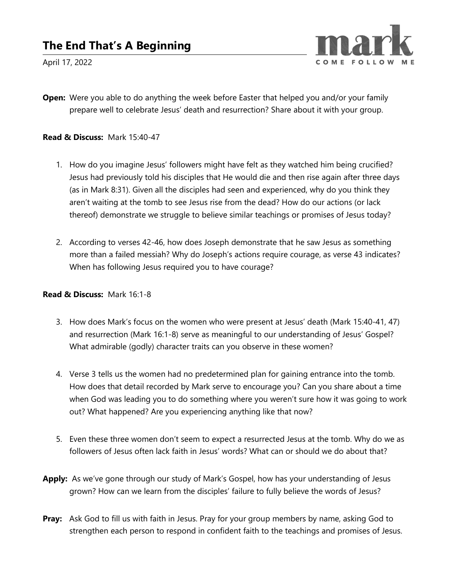

April 17, 2022

Open: Were you able to do anything the week before Easter that helped you and/or your family prepare well to celebrate Jesus' death and resurrection? Share about it with your group.

#### Read & Discuss: Mark 15:40-47

- 1. How do you imagine Jesus' followers might have felt as they watched him being crucified? Jesus had previously told his disciples that He would die and then rise again after three days (as in Mark 8:31). Given all the disciples had seen and experienced, why do you think they aren't waiting at the tomb to see Jesus rise from the dead? How do our actions (or lack thereof) demonstrate we struggle to believe similar teachings or promises of Jesus today?
- 2. According to verses 42-46, how does Joseph demonstrate that he saw Jesus as something more than a failed messiah? Why do Joseph's actions require courage, as verse 43 indicates? When has following Jesus required you to have courage?

#### Read & Discuss: Mark 16:1-8

- 3. How does Mark's focus on the women who were present at Jesus' death (Mark 15:40-41, 47) and resurrection (Mark 16:1-8) serve as meaningful to our understanding of Jesus' Gospel? What admirable (godly) character traits can you observe in these women?
- 4. Verse 3 tells us the women had no predetermined plan for gaining entrance into the tomb. How does that detail recorded by Mark serve to encourage you? Can you share about a time when God was leading you to do something where you weren't sure how it was going to work out? What happened? Are you experiencing anything like that now?
- 5. Even these three women don't seem to expect a resurrected Jesus at the tomb. Why do we as followers of Jesus often lack faith in Jesus' words? What can or should we do about that?
- Apply: As we've gone through our study of Mark's Gospel, how has your understanding of Jesus grown? How can we learn from the disciples' failure to fully believe the words of Jesus?
- Pray: Ask God to fill us with faith in Jesus. Pray for your group members by name, asking God to strengthen each person to respond in confident faith to the teachings and promises of Jesus.